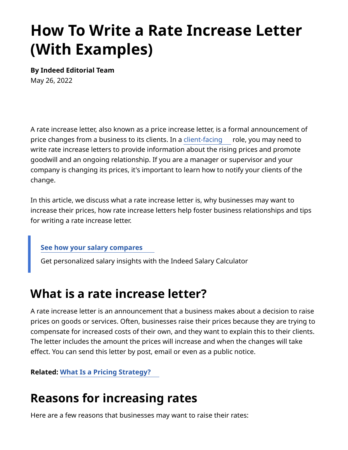# **How To Write a Rate Increase Letter (With Examples)**

**By Indeed Editorial Team** May 26, 2022

A rate increase letter, also known as a price increase letter, is a formal announcement of price changes from a business to its clients. In a [client-facing](https://www.indeed.com/career-advice/starting-new-job/client-facing) role, you may need to write rate increase letters to provide information about the rising prices and promote goodwill and an ongoing relationship. If you are a manager or supervisor and your company is changing its prices, it's important to learn how to notify your clients of the change.

In this article, we discuss what a rate increase letter is, why businesses may want to increase their prices, how rate increase letters help foster business relationships and tips for writing a rate increase letter.

#### **[See how your salary compares](https://www.indeed.com/career/salary-calculator?from=careerguidepromo-US)**

Get personalized salary insights with the Indeed Salary Calculator

### **What is a rate increase letter?**

A rate increase letter is an announcement that a business makes about a decision to raise prices on goods or services. Often, businesses raise their prices because they are trying to compensate for increased costs of their own, and they want to explain this to their clients. The letter includes the amount the prices will increase and when the changes will take efect. You can send this letter by post, email or even as a public notice.

**Related: [What Is a Pricing Strategy?](https://www.indeed.com/career-advice/career-development/pricing-strategy)**

# **Reasons for increasing rates**

Here are a few reasons that businesses may want to raise their rates: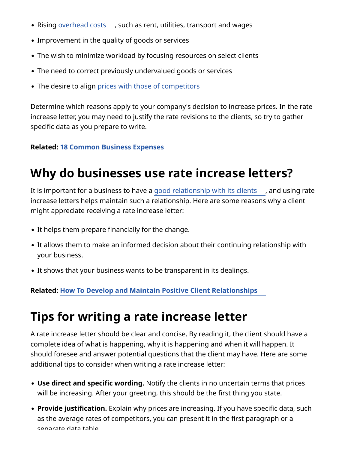- Rising [overhead costs](https://www.indeed.com/career-advice/career-development/guide-to-overhead)[,](https://www.indeed.com/career-advice/career-development/guide-to-overhead) such as rent, utilities, transport and wages
- Improvement in the quality of goods or services
- The wish to minimize workload by focusing resources on select clients
- The need to correct previously undervalued goods or services
- The desire to align [prices with those of competitors](https://www.indeed.com/career-advice/career-development/competitive-pricing)

Determine which reasons apply to your company's decision to increase prices. In the rate increase letter, you may need to justify the rate revisions to the clients, so try to gather specific data as you prepare to write.

#### **Related: [18 Common Business Expenses](https://www.indeed.com/career-advice/career-development/list-business-expenses)**

### **Why do businesses use rate increase letters?**

It is important for a business to have a [good relationship with its clients](https://www.indeed.com/career-advice/career-development/client-relationships) , and using rate increase letters helps maintain such a relationship. Here are some reasons why a client might appreciate receiving a rate increase letter:

- It helps them prepare financially for the change.
- It allows them to make an informed decision about their continuing relationship with your business.
- It shows that your business wants to be transparent in its dealings.

**Related: [How To Develop and Maintain Positive Client Relationships](https://www.indeed.com/career-advice/career-development/client-relationships)**

# **Tips for writing a rate increase letter**

A rate increase letter should be clear and concise. By reading it, the client should have a complete idea of what is happening, why it is happening and when it will happen. It should foresee and answer potential questions that the client may have. Here are some additional tips to consider when writing a rate increase letter:

- **Use direct and specific wording.** Notify the clients in no uncertain terms that prices will be increasing. After your greeting, this should be the first thing you state.
- **Provide justification.** Explain why prices are increasing. If you have specific data, such as the average rates of competitors, you can present it in the first paragraph or a separate data table.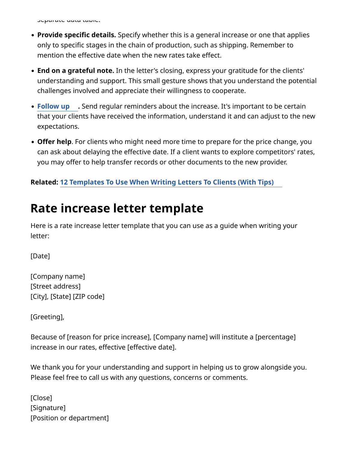separate data table.

- **Provide specific details.** Specify whether this is a general increase or one that applies only to specific stages in the chain of production, such as shipping. Remember to mention the effective date when the new rates take effect.
- **End on a grateful note.** In the letter's closing, express your gratitude for the clients' understanding and support. This small gesture shows that you understand the potential challenges involved and appreciate their willingness to cooperate.
- **[Follow up](https://www.indeed.com/career-advice/career-development/follow-up-email-template) .** Send regular reminders about the increase. It's important to be certain that your clients have received the information, understand it and can adjust to the new expectations.
- **Ofer help**. For clients who might need more time to prepare for the price change, you can ask about delaying the efective date. If a client wants to explore competitors' rates, you may offer to help transfer records or other documents to the new provider.

#### **Related: [12 Templates To Use When Writing Letters To Clients \(With Tips\)](https://www.indeed.com/career-advice/career-development/letters-to-clients)**

### **Rate increase letter template**

Here is a rate increase letter template that you can use as a guide when writing your letter:

[Date]

[Company name] [Street address] [City], [State] [ZIP code]

[Greeting],

Because of [reason for price increase], [Company name] will institute a [percentage] increase in our rates, effective [effective date].

We thank you for your understanding and support in helping us to grow alongside you. Please feel free to call us with any questions, concerns or comments.

[Close] [Signature] [Position or department]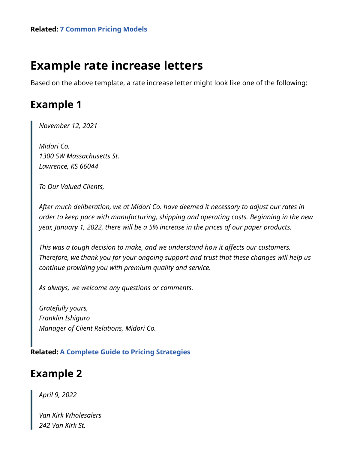# **Example rate increase letters**

Based on the above template, a rate increase letter might look like one of the following:

#### **Example 1**

*November 12, 2021*

*Midori Co. 1300 SW Massachusetts St. Lawrence, KS 66044*

*To Our Valued Clients,*

*After much deliberation, we at Midori Co. have deemed it necessary to adjust our rates in order to keep pace with manufacturing, shipping and operating costs. Beginning in the new year, January 1, 2022, there will be a 5% increase in the prices of our paper products.*

*This was a tough decision to make, and we understand how it afects our customers. Therefore, we thank you for your ongoing support and trust that these changes will help us continue providing you with premium quality and service.*

*As always, we welcome any questions or comments.*

*Gratefully yours, Franklin Ishiguro Manager of Client Relations, Midori Co.*

**Related: [A Complete Guide to Pricing Strategies](https://www.indeed.com/career-advice/career-development/pricing-strategy)**

#### **Example 2**

*April 9, 2022*

*Van Kirk Wholesalers 242 Van Kirk St.*